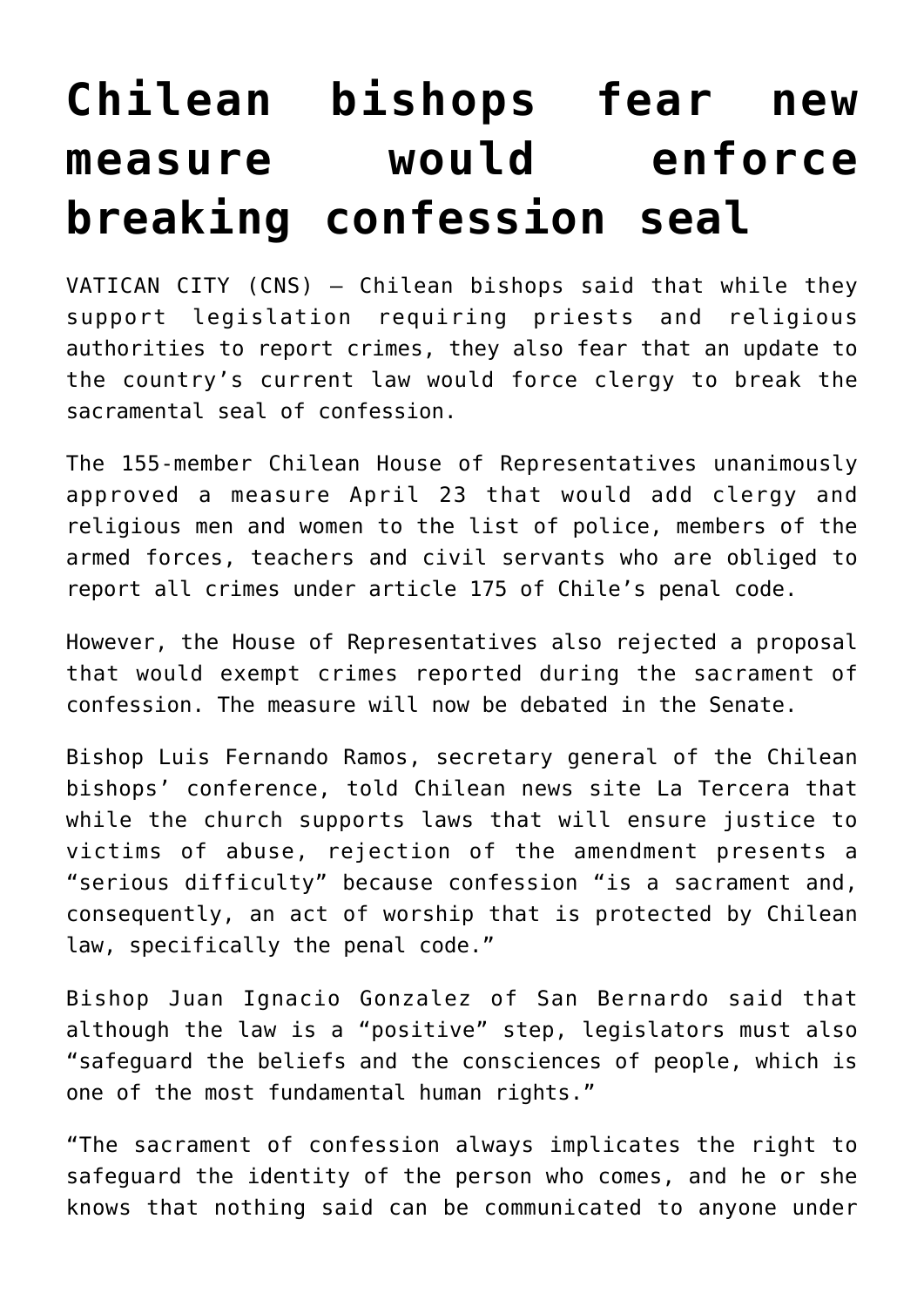## **[Chilean bishops fear new](https://www.osvnews.com/2019/04/26/chilean-bishops-fear-new-measure-would-enforce-breaking-confession-seal/) [measure would enforce](https://www.osvnews.com/2019/04/26/chilean-bishops-fear-new-measure-would-enforce-breaking-confession-seal/) [breaking confession seal](https://www.osvnews.com/2019/04/26/chilean-bishops-fear-new-measure-would-enforce-breaking-confession-seal/)**

VATICAN CITY (CNS) — Chilean bishops said that while they support legislation requiring priests and religious authorities to report crimes, they also fear that an update to the country's current law would force clergy to break the sacramental seal of confession.

The 155-member Chilean House of Representatives unanimously approved a measure April 23 that would add clergy and religious men and women to the list of police, members of the armed forces, teachers and civil servants who are obliged to report all crimes under article 175 of Chile's penal code.

However, the House of Representatives also rejected a proposal that would exempt crimes reported during the sacrament of confession. The measure will now be debated in the Senate.

Bishop Luis Fernando Ramos, secretary general of the Chilean bishops' conference, told Chilean news site La Tercera that while the church supports laws that will ensure justice to victims of abuse, rejection of the amendment presents a "serious difficulty" because confession "is a sacrament and, consequently, an act of worship that is protected by Chilean law, specifically the penal code."

Bishop Juan Ignacio Gonzalez of San Bernardo said that although the law is a "positive" step, legislators must also "safeguard the beliefs and the consciences of people, which is one of the most fundamental human rights."

"The sacrament of confession always implicates the right to safeguard the identity of the person who comes, and he or she knows that nothing said can be communicated to anyone under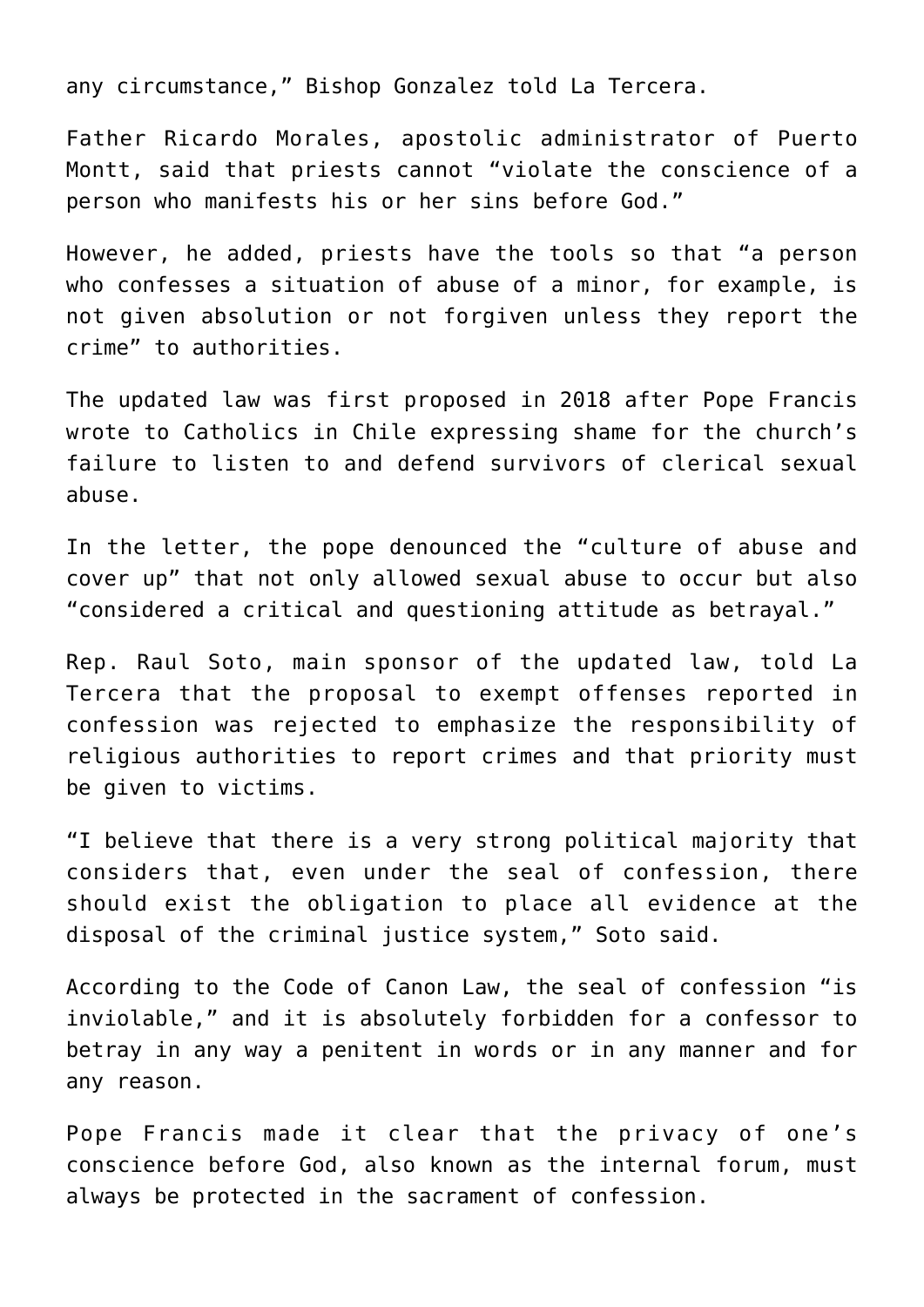any circumstance," Bishop Gonzalez told La Tercera.

Father Ricardo Morales, apostolic administrator of Puerto Montt, said that priests cannot "violate the conscience of a person who manifests his or her sins before God."

However, he added, priests have the tools so that "a person who confesses a situation of abuse of a minor, for example, is not given absolution or not forgiven unless they report the crime" to authorities.

The updated law was first proposed in 2018 after Pope Francis wrote to Catholics in Chile expressing shame for the church's failure to listen to and defend survivors of clerical sexual abuse.

In the letter, the pope denounced the "culture of abuse and cover up" that not only allowed sexual abuse to occur but also "considered a critical and questioning attitude as betrayal."

Rep. Raul Soto, main sponsor of the updated law, told La Tercera that the proposal to exempt offenses reported in confession was rejected to emphasize the responsibility of religious authorities to report crimes and that priority must be given to victims.

"I believe that there is a very strong political majority that considers that, even under the seal of confession, there should exist the obligation to place all evidence at the disposal of the criminal justice system," Soto said.

According to the Code of Canon Law, the seal of confession "is inviolable," and it is absolutely forbidden for a confessor to betray in any way a penitent in words or in any manner and for any reason.

Pope Francis made it clear that the privacy of one's conscience before God, also known as the internal forum, must always be protected in the sacrament of confession.